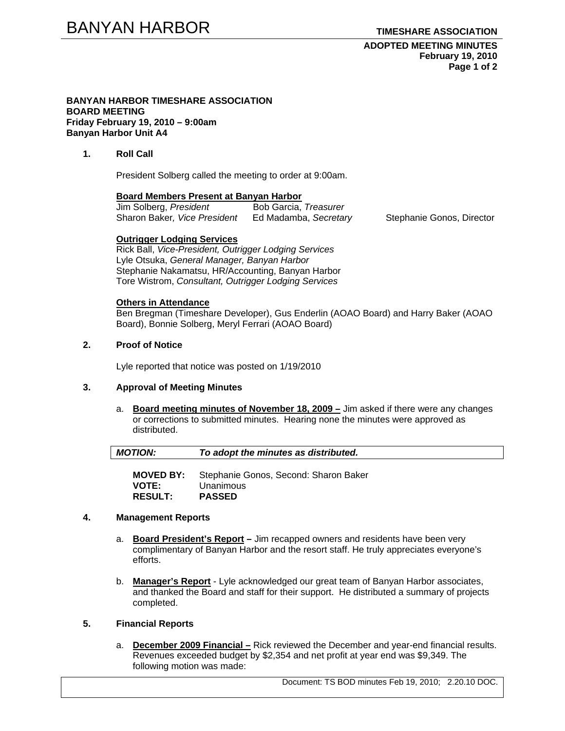### **ADOPTED MEETING MINUTES February 19, 2010 Page 1 of 2**

#### **BANYAN HARBOR TIMESHARE ASSOCIATION BOARD MEETING Friday February 19, 2010 – 9:00am Banyan Harbor Unit A4**

# **1. Roll Call**

President Solberg called the meeting to order at 9:00am.

# **Board Members Present at Banyan Harbor**

| Jim Solberg, President       | Bob Garcia, Treasurer |
|------------------------------|-----------------------|
| Sharon Baker, Vice President | Ed Madamba, Secretary |

Stephanie Gonos, Director

# **Outrigger Lodging Services**

Rick Ball, *Vice-President, Outrigger Lodging Services* Lyle Otsuka, *General Manager, Banyan Harbor*  Stephanie Nakamatsu, HR/Accounting, Banyan Harbor Tore Wistrom, *Consultant, Outrigger Lodging Services* 

# **Others in Attendance**

Ben Bregman (Timeshare Developer), Gus Enderlin (AOAO Board) and Harry Baker (AOAO Board), Bonnie Solberg, Meryl Ferrari (AOAO Board)

# **2. Proof of Notice**

Lyle reported that notice was posted on 1/19/2010

# **3. Approval of Meeting Minutes**

a. **Board meeting minutes of November 18, 2009 –** Jim asked if there were any changes or corrections to submitted minutes. Hearing none the minutes were approved as distributed.

| <b>MOTION:</b> | To adopt the minutes as distributed. |  |
|----------------|--------------------------------------|--|
|                |                                      |  |

**MOVED BY:** Stephanie Gonos, Second: Sharon Baker **VOTE:** Unanimous **RESULT: PASSED**

### **4. Management Reports**

- a. **Board President's Report** Jim recapped owners and residents have been very complimentary of Banyan Harbor and the resort staff. He truly appreciates everyone's efforts.
- b. **Manager's Report** Lyle acknowledged our great team of Banyan Harbor associates, and thanked the Board and staff for their support. He distributed a summary of projects completed.

# **5. Financial Reports**

a. **December 2009 Financial –** Rick reviewed the December and year-end financial results. Revenues exceeded budget by \$2,354 and net profit at year end was \$9,349. The following motion was made:

Document: TS BOD minutes Feb 19, 2010; 2.20.10 DOC.